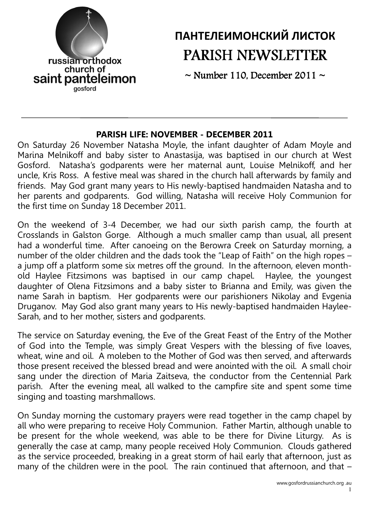

# ПАНТЕЛЕИМОНСКИЙ ЛИСТОК PARISH NEWSLETTER

 $\sim$  Number 110, December 2011  $\sim$ 

### PARISH LIFE: NOVEMBER - DECEMBER 2011

On Saturday 26 November Natasha Moyle, the infant daughter of Adam Moyle and Marina Melnikoff and baby sister to Anastasija, was baptised in our church at West Gosford. Natasha's godparents were her maternal aunt, Louise Melnikoff, and her uncle, Kris Ross. A festive meal was shared in the church hall afterwards by family and friends. May God grant many years to His newly-baptised handmaiden Natasha and to her parents and godparents. God willing, Natasha will receive Holy Communion for the first time on Sunday 18 December 2011.

On the weekend of 3-4 December, we had our sixth parish camp, the fourth at Crosslands in Galston Gorge. Although a much smaller camp than usual, all present had a wonderful time. After canoeing on the Berowra Creek on Saturday morning, a number of the older children and the dads took the "Leap of Faith" on the high ropes – a jump off a platform some six metres off the ground. In the afternoon, eleven month-<br>old Haylee Fitzsimons was baptised in our camp chapel. Haylee, the youngest old Haylee Fitzsimons was baptised in our camp chapel. daughter of Olena Fitzsimons and a baby sister to Brianna and Emily, was given the name Sarah in baptism. Her godparents were our parishioners Nikolay and Evgenia Druganov. May God also grant many years to His newly-baptised handmaiden Haylee-Sarah, and to her mother, sisters and godparents.

The service on Saturday evening, the Eve of the Great Feast of the Entry of the Mother of God into the Temple, was simply Great Vespers with the blessing of five loaves, wheat, wine and oil. A moleben to the Mother of God was then served, and afterwards those present received the blessed bread and were anointed with the oil. A small choir sang under the direction of Maria Zaitseva, the conductor from the Centennial Park parish. After the evening meal, all walked to the campfire site and spent some time singing and toasting marshmallows.

On Sunday morning the customary prayers were read together in the camp chapel by all who were preparing to receive Holy Communion. Father Martin, although unable to be present for the whole weekend, was able to be there for Divine Liturgy. As is generally the case at camp, many people received Holy Communion. Clouds gathered as the service proceeded, breaking in a great storm of hail early that afternoon, just as many of the children were in the pool. The rain continued that afternoon, and that  $-$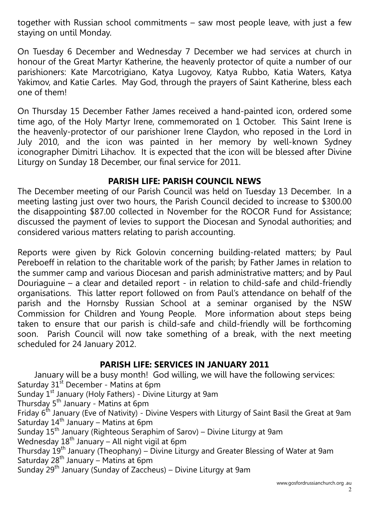together with Russian school commitments – saw most people leave, with just a few staying on until Monday.

On Tuesday 6 December and Wednesday 7 December we had services at church in honour of the Great Martyr Katherine, the heavenly protector of quite a number of our parishioners: Kate Marcotrigiano, Katya Lugovoy, Katya Rubbo, Katia Waters, Katya Yakimov, and Katie Carles. May God, through the prayers of Saint Katherine, bless each one of them!

On Thursday 15 December Father James received a hand-painted icon, ordered some time ago, of the Holy Martyr Irene, commemorated on 1 October. This Saint Irene is the heavenly-protector of our parishioner Irene Claydon, who reposed in the Lord in July 2010, and the icon was painted in her memory by well-known Sydney iconographer Dimitri Lihachov. It is expected that the icon will be blessed after Divine Liturgy on Sunday 18 December, our final service for 2011.

## PARISH LIFE: PARISH COUNCIL NEWS

The December meeting of our Parish Council was held on Tuesday 13 December. In a meeting lasting just over two hours, the Parish Council decided to increase to \$300.00 the disappointing \$87.00 collected in November for the ROCOR Fund for Assistance; discussed the payment of levies to support the Diocesan and Synodal authorities; and considered various matters relating to parish accounting.

Reports were given by Rick Golovin concerning building-related matters; by Paul Pereboeff in relation to the charitable work of the parish; by Father James in relation to the summer camp and various Diocesan and parish administrative matters; and by Paul Douriaguine – a clear and detailed report - in relation to child-safe and child-friendly organisations. This latter report followed on from Paul's attendance on behalf of the parish and the Hornsby Russian School at a seminar organised by the NSW Commission for Children and Young People. More information about steps being taken to ensure that our parish is child-safe and child-friendly will be forthcoming soon. Parish Council will now take something of a break, with the next meeting scheduled for 24 January 2012.

# PARISH LIFE: SERVICES IN JANUARY 2011

January will be a busy month! God willing, we will have the following services: Saturday  $31^{st}$  December - Matins at 6pm Sunday  $1<sup>st</sup>$  January (Holy Fathers) - Divine Liturgy at 9am Thursday 5<sup>th</sup> January - Matins at 6pm Friday 6<sup>th</sup> January (Eve of Nativity) - Divine Vespers with Liturgy of Saint Basil the Great at 9am Saturday 14th January – Matins at 6pm Sunday 15th January (Righteous Seraphim of Sarov) – Divine Liturgy at 9am Wednesday  $18^{th}$  January – All night vigil at 6pm Thursday  $19^{th}$  January (Theophany) – Divine Liturgy and Greater Blessing of Water at 9am Saturday  $28^{th}$  January – Matins at 6pm Sunday 29th January (Sunday of Zaccheus) – Divine Liturgy at 9am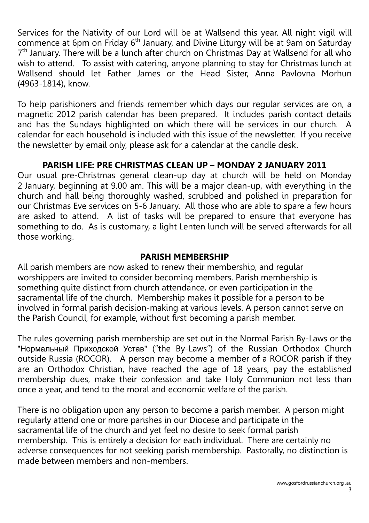Services for the Nativity of our Lord will be at Wallsend this year. All night vigil will commence at 6pm on Friday  $6<sup>th</sup>$  January, and Divine Liturgy will be at 9am on Saturday 7<sup>th</sup> January. There will be a lunch after church on Christmas Day at Wallsend for all who wish to attend. To assist with catering, anyone planning to stay for Christmas lunch at Wallsend should let Father James or the Head Sister, Anna Pavlovna Morhun (4963-1814), know.

To help parishioners and friends remember which days our regular services are on, a magnetic 2012 parish calendar has been prepared. It includes parish contact details and has the Sundays highlighted on which there will be services in our church. A calendar for each household is included with this issue of the newsletter. If you receive the newsletter by email only, please ask for a calendar at the candle desk.

# PARISH LIFE: PRE CHRISTMAS CLEAN UP – MONDAY 2 JANUARY 2011

Our usual pre-Christmas general clean-up day at church will be held on Monday 2 January, beginning at 9.00 am. This will be a major clean-up, with everything in the church and hall being thoroughly washed, scrubbed and polished in preparation for our Christmas Eve services on 5-6 January. All those who are able to spare a few hours are asked to attend. A list of tasks will be prepared to ensure that everyone has something to do. As is customary, a light Lenten lunch will be served afterwards for all those working.

### PARISH MEMBERSHIP

All parish members are now asked to renew their membership, and regular worshippers are invited to consider becoming members. Parish membership is something quite distinct from church attendance, or even participation in the sacramental life of the church. Membership makes it possible for a person to be involved in formal parish decision-making at various levels. A person cannot serve on the Parish Council, for example, without first becoming a parish member.

The rules governing parish membership are set out in the Normal Parish By-Laws or the "Нормальный Приходской Устав" ("the By-Laws") of the Russian Orthodox Church outside Russia (ROCOR). A person may become a member of a ROCOR parish if they are an Orthodox Christian, have reached the age of 18 years, pay the established membership dues, make their confession and take Holy Communion not less than once a year, and tend to the moral and economic welfare of the parish.

There is no obligation upon any person to become a parish member. A person might regularly attend one or more parishes in our Diocese and participate in the sacramental life of the church and yet feel no desire to seek formal parish membership. This is entirely a decision for each individual. There are certainly no adverse consequences for not seeking parish membership. Pastorally, no distinction is made between members and non-members.